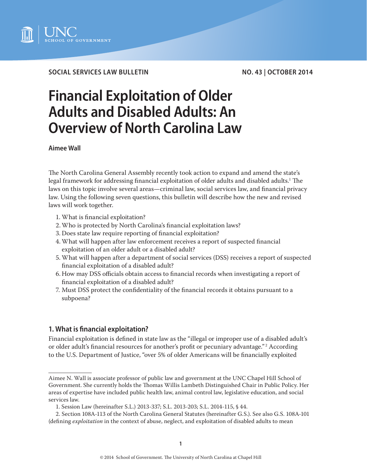

## **SOCIAL SERVICES LAW BULLETIN NO. 43 | OCTOBER 2014**

# **Financial Exploitation of Older Adults and Disabled Adults: An Overview of North Carolina Law**

## **Aimee Wall**

The North Carolina General Assembly recently took action to expand and amend the state's legal framework for addressing financial exploitation of older adults and disabled adults.1 The laws on this topic involve several areas—criminal law, social services law, and financial privacy law. Using the following seven questions, this bulletin will describe how the new and revised laws will work together.

- 1. What is financial exploitation?
- 2.Who is protected by North Carolina's financial exploitation laws?
- 3. Does state law require reporting of financial exploitation?
- 4.What will happen after law enforcement receives a report of suspected financial exploitation of an older adult or a disabled adult?
- 5. What will happen after a department of social services (DSS) receives a report of suspected financial exploitation of a disabled adult?
- 6. How may DSS officials obtain access to financial records when investigating a report of financial exploitation of a disabled adult?
- 7. Must DSS protect the confidentiality of the financial records it obtains pursuant to a subpoena?

## **1. What is financial exploitation?**

Financial exploitation is defined in state law as the "illegal or improper use of a disabled adult's or older adult's financial resources for another's profit or pecuniary advantage."<sup>2</sup> According to the U.S. Department of Justice, "over 5% of older Americans will be financially exploited

Aimee N. Wall is associate professor of public law and government at the UNC Chapel Hill School of Government. She currently holds the Thomas Willis Lambeth Distinguished Chair in Public Policy. Her areas of expertise have included public health law, animal control law, legislative education, and social services law.

<sup>1.</sup> Session Law (hereinafter S.L.) 2013-337; S.L. 2013-203; S.L. 2014-115, § 44.

<sup>2.</sup> Section 108A-113 of the North Carolina General Statutes (hereinafter G.S.). See also G.S. 108A-101 (defining *exploitation* in the context of abuse, neglect, and exploitation of disabled adults to mean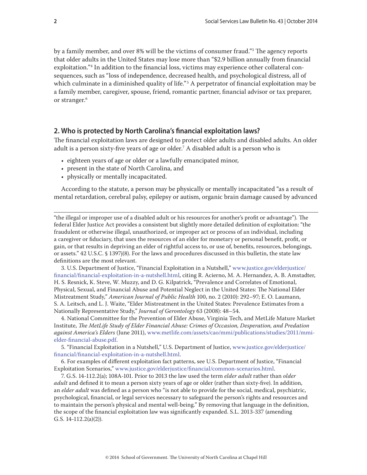by a family member, and over 8% will be the victims of consumer fraud."3 The agency reports that older adults in the United States may lose more than "\$2.9 billion annually from financial exploitation."4 In addition to the financial loss, victims may experience other collateral consequences, such as "loss of independence, decreased health, and psychological distress, all of which culminate in a diminished quality of life." <sup>5</sup> A perpetrator of financial exploitation may be a family member, caregiver, spouse, friend, romantic partner, financial advisor or tax preparer, or stranger.<sup>6</sup>

## **2. Who is protected by North Carolina's financial exploitation laws?**

The financial exploitation laws are designed to protect older adults and disabled adults. An older adult is a person sixty-five years of age or older.7 A disabled adult is a person who is

- eighteen years of age or older or a lawfully emancipated minor,
- present in the state of North Carolina, and
- physically or mentally incapacitated.

According to the statute, a person may be physically or mentally incapacitated "as a result of mental retardation, cerebral palsy, epilepsy or autism, organic brain damage caused by advanced

"the illegal or improper use of a disabled adult or his resources for another's profit or advantage"). The federal Elder Justice Act provides a consistent but slightly more detailed definition of exploitation: "the fraudulent or otherwise illegal, unauthorized, or improper act or process of an individual, including a caregiver or fiduciary, that uses the resources of an elder for monetary or personal benefit, profit, or gain, or that results in depriving an elder of rightful access to, or use of, benefits, resources, belongings, or assets." 42 U.S.C. § 1397j(8). For the laws and procedures discussed in this bulletin, the state law definitions are the most relevant.

3. U.S. Department of Justice, "Financial Exploitation in a Nutshell," [www.justice.gov/elderjustice/](http://www.justice.gov/elderjustice/financial/financial-exploitation-in-a-nutshell.html) [financial/financial-exploitation-in-a-nutshell.html,](http://www.justice.gov/elderjustice/financial/financial-exploitation-in-a-nutshell.html) citing R. Acierno, M. A. Hernandez, A. B. Amstadter, H. S. Resnick, K. Steve, W. Muzzy, and D. G. Kilpatrick, "Prevalence and Correlates of Emotional, Physical, Sexual, and Financial Abuse and Potential Neglect in the United States: The National Elder Mistreatment Study," *American Journal of Public Health* 100, no. 2 (2010): 292–97; E. O. Laumann, S. A. Leitsch, and L. J. Waite, "Elder Mistreatment in the United States: Prevalence Estimates from a Nationally Representative Study," *Journal of Gerontology* 63 (2008): 48–54.

4. National Committee for the Prevention of Elder Abuse, Virginia Tech, and MetLife Mature Market Institute, *The MetLife Study of Elder Financial Abuse: Crimes of Occasion, Desperation, and Predation against America's Elders* (June 2011), [www.metlife.com/assets/cao/mmi/publications/studies/2011/mmi](http://www.metlife.com/assets/cao/mmi/publications/studies/2011/mmi-elder-financial-abuse.pdf)[elder-financial-abuse.pdf](http://www.metlife.com/assets/cao/mmi/publications/studies/2011/mmi-elder-financial-abuse.pdf).

5. "Financial Exploitation in a Nutshell," U.S. Department of Justice, [www.justice.gov/elderjustice/](http://www.justice.gov/elderjustice/financial/financial-exploitation-in-a-nutshell.html) [financial/financial-exploitation-in-a-nutshell.html.](http://www.justice.gov/elderjustice/financial/financial-exploitation-in-a-nutshell.html)

6. For examples of different exploitation fact patterns, see U.S. Department of Justice, "Financial Exploitation Scenarios," [www.justice.gov/elderjustice/financial/common-scenarios.html](http://www.justice.gov/elderjustice/financial/common-scenarios.html).

7. G.S. 14-112.2(a); 108A-101. Prior to 2013 the law used the term *elder adult* rather than *older adult* and defined it to mean a person sixty years of age or older (rather than sixty-five). In addition, an *elder adult* was defined as a person who "is not able to provide for the social, medical, psychiatric, psychological, financial, or legal services necessary to safeguard the person's rights and resources and to maintain the person's physical and mental well-being." By removing that language in the definition, the scope of the financial exploitation law was significantly expanded. S.L. 2013-337 (amending G.S. 14-112.2(a)(2)).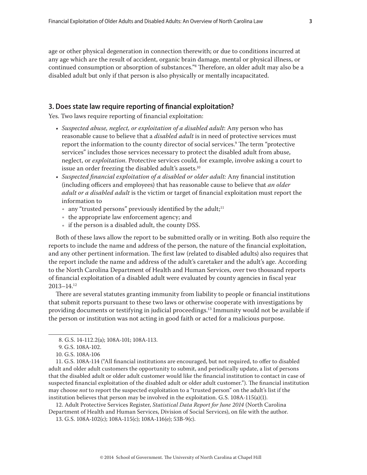age or other physical degeneration in connection therewith; or due to conditions incurred at any age which are the result of accident, organic brain damage, mental or physical illness, or continued consumption or absorption of substances."8 Therefore, an older adult may also be a disabled adult but only if that person is also physically or mentally incapacitated.

## **3. Does state law require reporting of financial exploitation?**

Yes. Two laws require reporting of financial exploitation:

- *Suspected abuse, neglect, or exploitation of a disabled adult*: Any person who has reasonable cause to believe that a *disabled adult* is in need of protective services must report the information to the county director of social services.<sup>9</sup> The term "protective services" includes those services necessary to protect the disabled adult from abuse, neglect, or *exploitation*. Protective services could, for example, involve asking a court to issue an order freezing the disabled adult's assets.<sup>10</sup>
- *Suspected financial exploitation of a disabled or older adult:* Any financial institution (including officers and employees) that has reasonable cause to believe that *an older adult or a disabled adult* is the victim or target of financial exploitation must report the information to
	- $\cdot$  any "trusted persons" previously identified by the adult;<sup>11</sup>
	- Ǟ the appropriate law enforcement agency; and
	- Ǟ if the person is a disabled adult, the county DSS.

Both of these laws allow the report to be submitted orally or in writing. Both also require the reports to include the name and address of the person, the nature of the financial exploitation, and any other pertinent information. The first law (related to disabled adults) also requires that the report include the name and address of the adult's caretaker and the adult's age. According to the North Carolina Department of Health and Human Services, over two thousand reports of financial exploitation of a disabled adult were evaluated by county agencies in fiscal year 2013–14.12

There are several statutes granting immunity from liability to people or financial institutions that submit reports pursuant to these two laws or otherwise cooperate with investigations by providing documents or testifying in judicial proceedings.13 Immunity would not be available if the person or institution was not acting in good faith or acted for a malicious purpose.

11. G.S. 108A-114 ("All financial institutions are encouraged, but not required, to offer to disabled adult and older adult customers the opportunity to submit, and periodically update, a list of persons that the disabled adult or older adult customer would like the financial institution to contact in case of suspected financial exploitation of the disabled adult or older adult customer."). The financial institution may choose *not* to report the suspected exploitation to a "trusted person" on the adult's list if the institution believes that person may be involved in the exploitation. G.S. 108A-115(a)(1).

12. Adult Protective Services Register, *Statistical Data Report for June 2014* (North Carolina Department of Health and Human Services, Division of Social Services), on file with the author.

<sup>8.</sup> G.S. 14-112.2(a); 108A-101; 108A-113.

<sup>9.</sup> G.S. 108A-102.

<sup>10.</sup> G.S. 108A-106

<sup>13.</sup> G.S. 108A-102(c); 108A-115(c); 108A-116(e); 53B-9(c).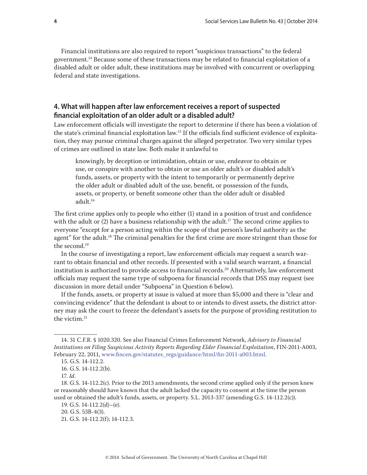Financial institutions are also required to report "suspicious transactions" to the federal government.<sup>14</sup> Because some of these transactions may be related to financial exploitation of a disabled adult or older adult, these institutions may be involved with concurrent or overlapping federal and state investigations.

## **4. What will happen after law enforcement receives a report of suspected financial exploitation of an older adult or a disabled adult?**

Law enforcement officials will investigate the report to determine if there has been a violation of the state's criminal financial exploitation law.15 If the officials find sufficient evidence of exploitation, they may pursue criminal charges against the alleged perpetrator. Two very similar types of crimes are outlined in state law. Both make it unlawful to

knowingly, by deception or intimidation, obtain or use, endeavor to obtain or use, or conspire with another to obtain or use an older adult's or disabled adult's funds, assets, or property with the intent to temporarily or permanently deprive the older adult or disabled adult of the use, benefit, or possession of the funds, assets, or property, or benefit someone other than the older adult or disabled adult.16

The first crime applies only to people who either (1) stand in a position of trust and confidence with the adult or (2) have a business relationship with the adult.<sup>17</sup> The second crime applies to everyone "except for a person acting within the scope of that person's lawful authority as the agent" for the adult.<sup>18</sup> The criminal penalties for the first crime are more stringent than those for the second.19

In the course of investigating a report, law enforcement officials may request a search warrant to obtain financial and other records. If presented with a valid search warrant, a financial institution is authorized to provide access to financial records.<sup>20</sup> Alternatively, law enforcement officials may request the same type of subpoena for financial records that DSS may request (see discussion in more detail under "Subpoena" in Question 6 below).

If the funds, assets, or property at issue is valued at more than \$5,000 and there is "clear and convincing evidence" that the defendant is about to or intends to divest assets, the district attorney may ask the court to freeze the defendant's assets for the purpose of providing restitution to the victim.21

<sup>14. 31</sup> C.F.R. § 1020.320. See also Financial Crimes Enforcement Network, *Advisory to Financial Institutions on Filing Suspicious Activity Reports Regarding Elder Financial Exploitation*, FIN-2011-A003, February 22, 2011, www.fincen.gov/statutes\_regs/guidance/html/fin-2011-a003.html.

<sup>15.</sup> G.S. 14-112.2.

<sup>16.</sup> G.S. 14-112.2(b).

<sup>17.</sup> *Id*.

<sup>18.</sup> G.S. 14-112.2(c). Prior to the 2013 amendments, the second crime applied only if the person knew or reasonably should have known that the adult lacked the capacity to consent at the time the person used or obtained the adult's funds, assets, or property. S.L. 2013-337 (amending G.S. 14-112.2(c)).

<sup>19.</sup> G.S. 14-112.2(d)–(e).

<sup>20.</sup> G.S. 53B-4(3).

<sup>21.</sup> G.S. 14-112.2(f); 14-112.3.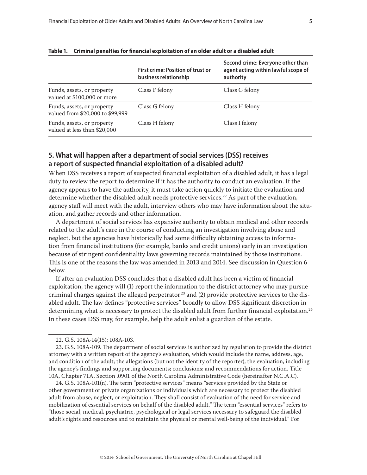|                                                                | <b>First crime: Position of trust or</b><br>business relationship | Second crime: Everyone other than<br>agent acting within lawful scope of<br>authority |
|----------------------------------------------------------------|-------------------------------------------------------------------|---------------------------------------------------------------------------------------|
| Funds, assets, or property<br>valued at \$100,000 or more      | Class F felony                                                    | Class G felony                                                                        |
| Funds, assets, or property<br>valued from \$20,000 to \$99,999 | Class G felony                                                    | Class H felony                                                                        |
| Funds, assets, or property<br>valued at less than \$20,000     | Class H felony                                                    | Class I felony                                                                        |

#### **Table 1. Criminal penalties for financial exploitation of an older adult or a disabled adult**

## **5. What will happen after a department of social services (DSS) receives a report of suspected financial exploitation of a disabled adult?**

When DSS receives a report of suspected financial exploitation of a disabled adult, it has a legal duty to review the report to determine if it has the authority to conduct an evaluation. If the agency appears to have the authority, it must take action quickly to initiate the evaluation and determine whether the disabled adult needs protective services.<sup>22</sup> As part of the evaluation, agency staff will meet with the adult, interview others who may have information about the situation, and gather records and other information.

A department of social services has expansive authority to obtain medical and other records related to the adult's care in the course of conducting an investigation involving abuse and neglect, but the agencies have historically had some difficulty obtaining access to information from financial institutions (for example, banks and credit unions) early in an investigation because of stringent confidentiality laws governing records maintained by those institutions. This is one of the reasons the law was amended in 2013 and 2014. See discussion in Question 6 below.

If after an evaluation DSS concludes that a disabled adult has been a victim of financial exploitation, the agency will (1) report the information to the district attorney who may pursue criminal charges against the alleged perpetrator<sup>23</sup> and (2) provide protective services to the disabled adult. The law defines "protective services" broadly to allow DSS significant discretion in determining what is necessary to protect the disabled adult from further financial exploitation.<sup>24</sup> In these cases DSS may, for example, help the adult enlist a guardian of the estate.

24. G.S. 108A-101(n). The term "protective services" means "services provided by the State or other government or private organizations or individuals which are necessary to protect the disabled adult from abuse, neglect, or exploitation. They shall consist of evaluation of the need for service and mobilization of essential services on behalf of the disabled adult." The term "essential services" refers to "those social, medical, psychiatric, psychological or legal services necessary to safeguard the disabled adult's rights and resources and to maintain the physical or mental well-being of the individual." For

<sup>22.</sup> G.S. 108A-14(15); 108A-103.

<sup>23.</sup> G.S. 108A-109. The department of social services is authorized by regulation to provide the district attorney with a written report of the agency's evaluation, which would include the name, address, age, and condition of the adult; the allegations (but not the identity of the reporter); the evaluation, including the agency's findings and supporting documents; conclusions; and recommendations for action. Title 10A, Chapter 71A, Section .0901 of the North Carolina Administrative Code (hereinafter N.C.A.C).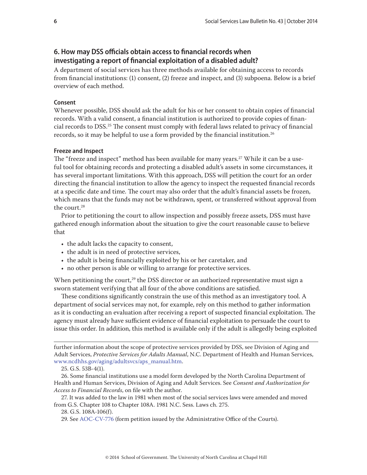## **6. How may DSS officials obtain access to financial records when investigating a report of financial exploitation of a disabled adult?**

A department of social services has three methods available for obtaining access to records from financial institutions: (1) consent, (2) freeze and inspect, and (3) subpoena. Below is a brief overview of each method.

## **Consent**

Whenever possible, DSS should ask the adult for his or her consent to obtain copies of financial records. With a valid consent, a financial institution is authorized to provide copies of financial records to DSS.25 The consent must comply with federal laws related to privacy of financial records, so it may be helpful to use a form provided by the financial institution.<sup>26</sup>

#### **Freeze and Inspect**

The "freeze and inspect" method has been available for many years.<sup>27</sup> While it can be a useful tool for obtaining records and protecting a disabled adult's assets in some circumstances, it has several important limitations. With this approach, DSS will petition the court for an order directing the financial institution to allow the agency to inspect the requested financial records at a specific date and time. The court may also order that the adult's financial assets be frozen, which means that the funds may not be withdrawn, spent, or transferred without approval from the court.<sup>28</sup>

Prior to petitioning the court to allow inspection and possibly freeze assets, DSS must have gathered enough information about the situation to give the court reasonable cause to believe that

- the adult lacks the capacity to consent,
- the adult is in need of protective services,
- the adult is being financially exploited by his or her caretaker, and
- no other person is able or willing to arrange for protective services.

When petitioning the court,<sup>29</sup> the DSS director or an authorized representative must sign a sworn statement verifying that all four of the above conditions are satisfied.

These conditions significantly constrain the use of this method as an investigatory tool. A department of social services may not, for example, rely on this method to gather information as it is conducting an evaluation after receiving a report of suspected financial exploitation. The agency must already have sufficient evidence of financial exploitation to persuade the court to issue this order. In addition, this method is available only if the adult is allegedly being exploited

further information about the scope of protective services provided by DSS, see Division of Aging and Adult Services, *Protective Services for Adults Manual*, N.C. Department of Health and Human Services, www.ncdhhs.gov/aging/adultsvcs/aps\_manual.htm.

<sup>25.</sup> G.S. 53B-4(1).

<sup>26.</sup> Some financial institutions use a model form developed by the North Carolina Department of Health and Human Services, Division of Aging and Adult Services. See *Consent and Authorization for Access to Financial Records*, on file with the author.

<sup>27.</sup> It was added to the law in 1981 when most of the social services laws were amended and moved from G.S. Chapter 108 to Chapter 108A. 1981 N.C. Sess. Laws ch. 275.

<sup>28.</sup> G.S. 108A-106(f).

<sup>29.</sup> See [AOC-CV-776](http://www.nccourts.org/Forms/Documents/1317.pdf) (form petition issued by the Administrative Office of the Courts).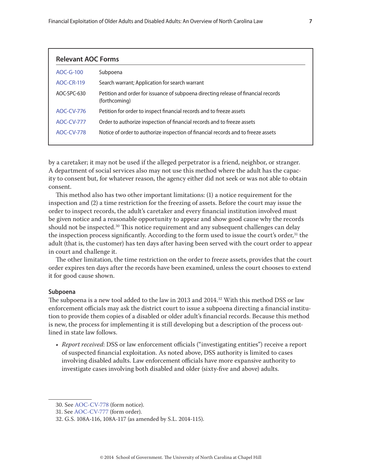| $AOC-G-100$  | Subpoena                                                                                            |
|--------------|-----------------------------------------------------------------------------------------------------|
| AOC-CR-119   | Search warrant; Application for search warrant                                                      |
| AOC-SPC-630  | Petition and order for issuance of subpoena directing release of financial records<br>(forthcoming) |
| $AOC-CV-776$ | Petition for order to inspect financial records and to freeze assets                                |
| $AOC-CV-777$ | Order to authorize inspection of financial records and to freeze assets                             |
| AOC-CV-778   | Notice of order to authorize inspection of financial records and to freeze assets                   |

by a caretaker; it may not be used if the alleged perpetrator is a friend, neighbor, or stranger. A department of social services also may not use this method where the adult has the capacity to consent but, for whatever reason, the agency either did not seek or was not able to obtain consent.

This method also has two other important limitations: (1) a notice requirement for the inspection and (2) a time restriction for the freezing of assets. Before the court may issue the order to inspect records, the adult's caretaker and every financial institution involved must be given notice and a reasonable opportunity to appear and show good cause why the records should not be inspected.<sup>30</sup> This notice requirement and any subsequent challenges can delay the inspection process significantly. According to the form used to issue the court's order,<sup>31</sup> the adult (that is, the customer) has ten days after having been served with the court order to appear in court and challenge it.

The other limitation, the time restriction on the order to freeze assets, provides that the court order expires ten days after the records have been examined, unless the court chooses to extend it for good cause shown.

#### **Subpoena**

The subpoena is a new tool added to the law in 2013 and 2014.<sup>32</sup> With this method DSS or law enforcement officials may ask the district court to issue a subpoena directing a financial institution to provide them copies of a disabled or older adult's financial records. Because this method is new, the process for implementing it is still developing but a description of the process outlined in state law follows.

• *Report received*: DSS or law enforcement officials ("investigating entities") receive a report of suspected financial exploitation. As noted above, DSS authority is limited to cases involving disabled adults. Law enforcement officials have more expansive authority to investigate cases involving both disabled and older (sixty-five and above) adults.

<sup>30.</sup> See [AOC-CV-778](http://www.nccourts.org/Forms/Documents/1319.pdf) (form notice).

<sup>31.</sup> See [AOC-CV-777](http://www.nccourts.org/Forms/Documents/1318.pdf) (form order).

<sup>32.</sup> G.S. 108A-116, 108A-117 (as amended by S.L. 2014-115).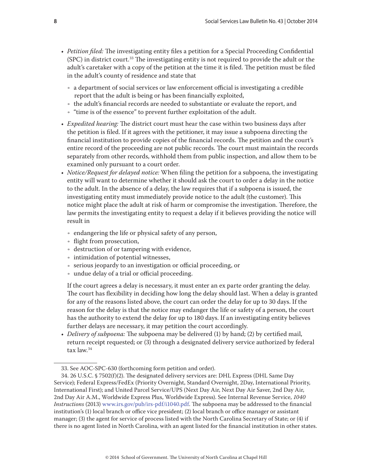- *Petition filed:* The investigating entity files a petition for a Special Proceeding Confidential (SPC) in district court.<sup>33</sup> The investigating entity is not required to provide the adult or the adult's caretaker with a copy of the petition at the time it is filed. The petition must be filed in the adult's county of residence and state that
	- Ǟ a department of social services or law enforcement official is investigating a credible report that the adult is being or has been financially exploited,
	- Ǟ the adult's financial records are needed to substantiate or evaluate the report, and
	- Ǟ "time is of the essence" to prevent further exploitation of the adult.
- *Expedited hearing:* The district court must hear the case within two business days after the petition is filed. If it agrees with the petitioner, it may issue a subpoena directing the financial institution to provide copies of the financial records. The petition and the court's entire record of the proceeding are not public records. The court must maintain the records separately from other records, withhold them from public inspection, and allow them to be examined only pursuant to a court order.
- *Notice/Request for delayed notice:* When filing the petition for a subpoena, the investigating entity will want to determine whether it should ask the court to order a delay in the notice to the adult. In the absence of a delay, the law requires that if a subpoena is issued, the investigating entity must immediately provide notice to the adult (the customer). This notice might place the adult at risk of harm or compromise the investigation. Therefore, the law permits the investigating entity to request a delay if it believes providing the notice will result in
	- endangering the life or physical safety of any person,
	- flight from prosecution,
	- Ǟ destruction of or tampering with evidence,
	- Ǟ intimidation of potential witnesses,
	- Ǟ serious jeopardy to an investigation or official proceeding, or
	- Ǟ undue delay of a trial or official proceeding.

If the court agrees a delay is necessary, it must enter an ex parte order granting the delay. The court has flexibility in deciding how long the delay should last. When a delay is granted for any of the reasons listed above, the court can order the delay for up to 30 days. If the reason for the delay is that the notice may endanger the life or safety of a person, the court has the authority to extend the delay for up to 180 days. If an investigating entity believes further delays are necessary, it may petition the court accordingly.

• *Delivery of subpoena:* The subpoena may be delivered (1) by hand; (2) by certified mail, return receipt requested; or (3) through a designated delivery service authorized by federal tax law.34

<sup>33.</sup> See AOC-SPC-630 (forthcoming form petition and order).

<sup>34. 26</sup> U.S.C. § 7502(f)(2). The designated delivery services are: DHL Express (DHL Same Day Service); Federal Express/FedEx (Priority Overnight, Standard Overnight, 2Day, International Priority, International First); and United Parcel Service/UPS (Next Day Air, Next Day Air Saver, 2nd Day Air, 2nd Day Air A.M., Worldwide Express Plus, Worldwide Express). See Internal Revenue Service, *1040 Instructions* (2013) [www.irs.gov/pub/irs-pdf/i1040.pdf](http://www.irs.gov/pub/irs-pdf/i1040.pdf). The subpoena may be addressed to the financial institution's (1) local branch or office vice president; (2) local branch or office manager or assistant manager; (3) the agent for service of process listed with the North Carolina Secretary of State; or (4) if there is no agent listed in North Carolina, with an agent listed for the financial institution in other states.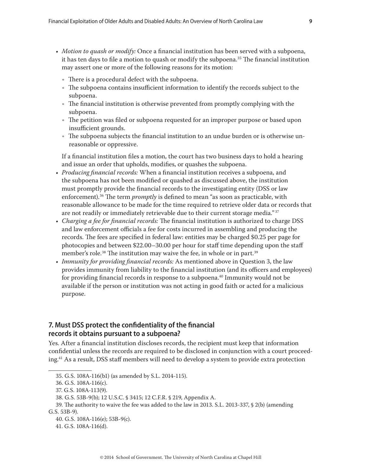- *Motion to quash or modify:* Once a financial institution has been served with a subpoena, it has ten days to file a motion to quash or modify the subpoena.<sup>35</sup> The financial institution may assert one or more of the following reasons for its motion:
	- Ǟ There is a procedural defect with the subpoena.
	- Ǟ The subpoena contains insufficient information to identify the records subject to the subpoena.
	- Ǟ The financial institution is otherwise prevented from promptly complying with the subpoena.
	- Ǟ The petition was filed or subpoena requested for an improper purpose or based upon insufficient grounds.
	- Ǟ The subpoena subjects the financial institution to an undue burden or is otherwise unreasonable or oppressive.

If a financial institution files a motion, the court has two business days to hold a hearing and issue an order that upholds, modifies, or quashes the subpoena.

- *Producing financial records:* When a financial institution receives a subpoena, and the subpoena has not been modified or quashed as discussed above, the institution must promptly provide the financial records to the investigating entity (DSS or law enforcement).36 The term *promptly* is defined to mean "as soon as practicable, with reasonable allowance to be made for the time required to retrieve older data or records that are not readily or immediately retrievable due to their current storage media." 37
- *Charging a fee for financial records:* The financial institution is authorized to charge DSS and law enforcement officials a fee for costs incurred in assembling and producing the records. The fees are specified in federal law: entities may be charged \$0.25 per page for photocopies and between \$22.00–30.00 per hour for staff time depending upon the staff member's role.<sup>38</sup> The institution may waive the fee, in whole or in part.<sup>39</sup>
- *Immunity for providing financial records:* As mentioned above in Question 3, the law provides immunity from liability to the financial institution (and its officers and employees) for providing financial records in response to a subpoena.40 Immunity would not be available if the person or institution was not acting in good faith or acted for a malicious purpose.

## **7. Must DSS protect the confidentiality of the financial records it obtains pursuant to a subpoena?**

Yes. After a financial institution discloses records, the recipient must keep that information confidential unless the records are required to be disclosed in conjunction with a court proceeding.41 As a result, DSS staff members will need to develop a system to provide extra protection

39. The authority to waive the fee was added to the law in 2013. S.L. 2013-337, § 2(b) (amending G.S. 53B-9).

40. G.S. 108A-116(e); 53B-9(c).

<sup>35.</sup> G.S. 108A-116(b1) (as amended by S.L. 2014-115).

<sup>36.</sup> G.S. 108A-116(c).

<sup>37.</sup> G.S. 108A-113(9).

<sup>38.</sup> G.S. 53B-9(b); 12 U.S.C. § 3415; 12 C.F.R. § 219, Appendix A.

<sup>41.</sup> G.S. 108A-116(d).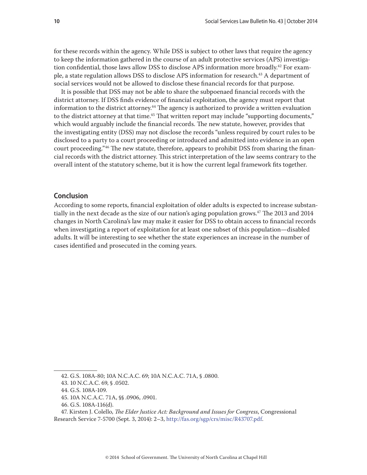for these records within the agency. While DSS is subject to other laws that require the agency to keep the information gathered in the course of an adult protective services (APS) investigation confidential, those laws allow DSS to disclose APS information more broadly.<sup>42</sup> For example, a state regulation allows DSS to disclose APS information for research.<sup>43</sup> A department of social services would not be allowed to disclose these financial records for that purpose.

It is possible that DSS may not be able to share the subpoenaed financial records with the district attorney. If DSS finds evidence of financial exploitation, the agency must report that information to the district attorney.<sup>44</sup> The agency is authorized to provide a written evaluation to the district attorney at that time.<sup>45</sup> That written report may include "supporting documents," which would arguably include the financial records. The new statute, however, provides that the investigating entity (DSS) may not disclose the records "unless required by court rules to be disclosed to a party to a court proceeding or introduced and admitted into evidence in an open court proceeding."46 The new statute, therefore, appears to prohibit DSS from sharing the financial records with the district attorney. This strict interpretation of the law seems contrary to the overall intent of the statutory scheme, but it is how the current legal framework fits together.

## **Conclusion**

According to some reports, financial exploitation of older adults is expected to increase substantially in the next decade as the size of our nation's aging population grows.<sup>47</sup> The 2013 and 2014 changes in North Carolina's law may make it easier for DSS to obtain access to financial records when investigating a report of exploitation for at least one subset of this population—disabled adults. It will be interesting to see whether the state experiences an increase in the number of cases identified and prosecuted in the coming years.

<sup>42.</sup> G.S. 108A-80; 10A N.C.A.C. 69; 10A N.C.A.C. 71A, § .0800.

<sup>43. 10</sup> N.C.A.C. 69, § .0502.

<sup>44.</sup> G.S. 108A-109.

<sup>45. 10</sup>A N.C.A.C. 71A, §§ .0906, .0901.

<sup>46.</sup> G.S. 108A-116(d).

<sup>47.</sup> Kirsten J. Colello, *The Elder Justice Act: Background and Issues for Congress*, Congressional Research Service 7-5700 (Sept. 3, 2014): 2–3, http://fas.org/sgp/crs/misc/R43707.pdf.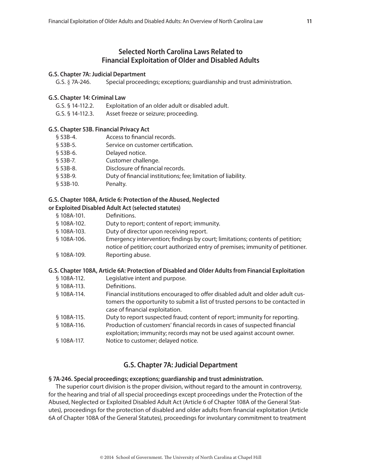## **Selected North Carolina Laws Related to Financial Exploitation of Older and Disabled Adults**

#### **G.S. Chapter 7A: Judicial Department**

G.S. § 7A-246. Special proceedings; exceptions; guardianship and trust administration.

#### **G.S. Chapter 14: Criminal Law**

| G.S. $§$ 14-112.2. | Exploitation of an older adult or disabled adult. |
|--------------------|---------------------------------------------------|
| G.S. $§$ 14-112.3. | Asset freeze or seizure; proceeding.              |

#### **G.S. Chapter 53B. Financial Privacy Act**

| $$53B-4.$                  | Access to financial records.                                  |
|----------------------------|---------------------------------------------------------------|
| $$53B-5.$                  | Service on customer certification.                            |
| $$53B-6.$                  | Delayed notice.                                               |
| $$53B-7.$                  | Customer challenge.                                           |
| $$53B-8.$                  | Disclosure of financial records.                              |
| $$53B-9.$                  | Duty of financial institutions; fee; limitation of liability. |
| $E$ $E$ $D$ $D$ $1$ $\cap$ | $D_{\alpha}$ $D_{\alpha}$                                     |

§ 53B-10. Penalty.

### **G.S. Chapter 108A, Article 6: Protection of the Abused, Neglected**

## **or Exploited Disabled Adult Act (selected statutes)**

| § 108A-101. | Definitions.                                                                                                                                                     |
|-------------|------------------------------------------------------------------------------------------------------------------------------------------------------------------|
| § 108A-102. | Duty to report; content of report; immunity.                                                                                                                     |
| § 108A-103. | Duty of director upon receiving report.                                                                                                                          |
| § 108A-106. | Emergency intervention; findings by court; limitations; contents of petition;<br>notice of petition; court authorized entry of premises; immunity of petitioner. |
| § 108A-109. | Reporting abuse.                                                                                                                                                 |
|             |                                                                                                                                                                  |

### **G.S. Chapter 108A, Article 6A: Protection of Disabled and Older Adults from Financial Exploitation**

| § 108A-112.  | Legislative intent and purpose.                                                |
|--------------|--------------------------------------------------------------------------------|
| § 108A-113.  | Definitions.                                                                   |
| § 108A-114.  | Financial institutions encouraged to offer disabled adult and older adult cus- |
|              | tomers the opportunity to submit a list of trusted persons to be contacted in  |
|              | case of financial exploitation.                                                |
| § 108A-115.  | Duty to report suspected fraud; content of report; immunity for reporting.     |
| § 108A-116.  | Production of customers' financial records in cases of suspected financial     |
|              | exploitation; immunity; records may not be used against account owner.         |
| $$108A-117.$ | Notice to customer; delayed notice.                                            |
|              |                                                                                |

## **G.S. Chapter 7A: Judicial Department**

#### **§ 7A-246. Special proceedings; exceptions; guardianship and trust administration.**

The superior court division is the proper division, without regard to the amount in controversy, for the hearing and trial of all special proceedings except proceedings under the Protection of the Abused, Neglected or Exploited Disabled Adult Act (Article 6 of Chapter 108A of the General Statutes), proceedings for the protection of disabled and older adults from financial exploitation (Article 6A of Chapter 108A of the General Statutes), proceedings for involuntary commitment to treatment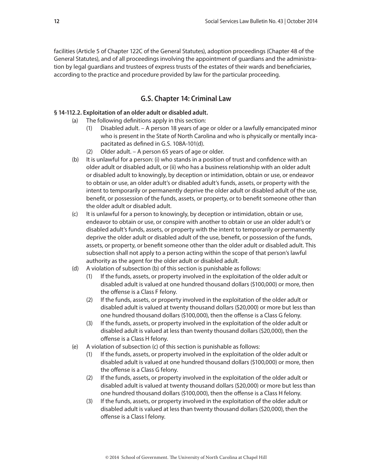facilities (Article 5 of Chapter 122C of the General Statutes), adoption proceedings (Chapter 48 of the General Statutes), and of all proceedings involving the appointment of guardians and the administration by legal guardians and trustees of express trusts of the estates of their wards and beneficiaries, according to the practice and procedure provided by law for the particular proceeding.

## **G.S. Chapter 14: Criminal Law**

#### **§ 14-112.2. Exploitation of an older adult or disabled adult.**

- (a) The following definitions apply in this section:
	- (1) Disabled adult. A person 18 years of age or older or a lawfully emancipated minor who is present in the State of North Carolina and who is physically or mentally incapacitated as defined in G.S. 108A-101(d).
	- (2) Older adult. A person 65 years of age or older.
- (b) It is unlawful for a person: (i) who stands in a position of trust and confidence with an older adult or disabled adult, or (ii) who has a business relationship with an older adult or disabled adult to knowingly, by deception or intimidation, obtain or use, or endeavor to obtain or use, an older adult's or disabled adult's funds, assets, or property with the intent to temporarily or permanently deprive the older adult or disabled adult of the use, benefit, or possession of the funds, assets, or property, or to benefit someone other than the older adult or disabled adult.
- (c) It is unlawful for a person to knowingly, by deception or intimidation, obtain or use, endeavor to obtain or use, or conspire with another to obtain or use an older adult's or disabled adult's funds, assets, or property with the intent to temporarily or permanently deprive the older adult or disabled adult of the use, benefit, or possession of the funds, assets, or property, or benefit someone other than the older adult or disabled adult. This subsection shall not apply to a person acting within the scope of that person's lawful authority as the agent for the older adult or disabled adult.
- (d) A violation of subsection (b) of this section is punishable as follows:
	- (1) If the funds, assets, or property involved in the exploitation of the older adult or disabled adult is valued at one hundred thousand dollars (\$100,000) or more, then the offense is a Class F felony.
	- (2) If the funds, assets, or property involved in the exploitation of the older adult or disabled adult is valued at twenty thousand dollars (\$20,000) or more but less than one hundred thousand dollars (\$100,000), then the offense is a Class G felony.
	- (3) If the funds, assets, or property involved in the exploitation of the older adult or disabled adult is valued at less than twenty thousand dollars (\$20,000), then the offense is a Class H felony.
- (e) A violation of subsection (c) of this section is punishable as follows:
	- (1) If the funds, assets, or property involved in the exploitation of the older adult or disabled adult is valued at one hundred thousand dollars (\$100,000) or more, then the offense is a Class G felony.
	- (2) If the funds, assets, or property involved in the exploitation of the older adult or disabled adult is valued at twenty thousand dollars (\$20,000) or more but less than one hundred thousand dollars (\$100,000), then the offense is a Class H felony.
	- (3) If the funds, assets, or property involved in the exploitation of the older adult or disabled adult is valued at less than twenty thousand dollars (\$20,000), then the offense is a Class I felony.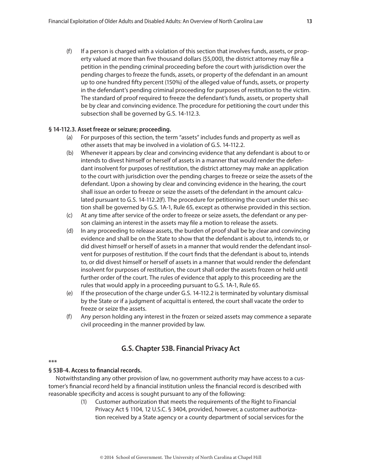(f) If a person is charged with a violation of this section that involves funds, assets, or property valued at more than five thousand dollars (\$5,000), the district attorney may file a petition in the pending criminal proceeding before the court with jurisdiction over the pending charges to freeze the funds, assets, or property of the defendant in an amount up to one hundred fifty percent (150%) of the alleged value of funds, assets, or property in the defendant's pending criminal proceeding for purposes of restitution to the victim. The standard of proof required to freeze the defendant's funds, assets, or property shall be by clear and convincing evidence. The procedure for petitioning the court under this subsection shall be governed by G.S. 14-112.3.

#### **§ 14-112.3. Asset freeze or seizure; proceeding.**

- (a) For purposes of this section, the term "assets" includes funds and property as well as other assets that may be involved in a violation of G.S. 14-112.2.
- (b) Whenever it appears by clear and convincing evidence that any defendant is about to or intends to divest himself or herself of assets in a manner that would render the defendant insolvent for purposes of restitution, the district attorney may make an application to the court with jurisdiction over the pending charges to freeze or seize the assets of the defendant. Upon a showing by clear and convincing evidence in the hearing, the court shall issue an order to freeze or seize the assets of the defendant in the amount calculated pursuant to G.S. 14-112.2(f). The procedure for petitioning the court under this section shall be governed by G.S. 1A-1, Rule 65, except as otherwise provided in this section.
- (c) At any time after service of the order to freeze or seize assets, the defendant or any person claiming an interest in the assets may file a motion to release the assets.
- (d) In any proceeding to release assets, the burden of proof shall be by clear and convincing evidence and shall be on the State to show that the defendant is about to, intends to, or did divest himself or herself of assets in a manner that would render the defendant insolvent for purposes of restitution. If the court finds that the defendant is about to, intends to, or did divest himself or herself of assets in a manner that would render the defendant insolvent for purposes of restitution, the court shall order the assets frozen or held until further order of the court. The rules of evidence that apply to this proceeding are the rules that would apply in a proceeding pursuant to G.S. 1A-1, Rule 65.
- (e) If the prosecution of the charge under G.S. 14-112.2 is terminated by voluntary dismissal by the State or if a judgment of acquittal is entered, the court shall vacate the order to freeze or seize the assets.
- (f) Any person holding any interest in the frozen or seized assets may commence a separate civil proceeding in the manner provided by law.

## **G.S. Chapter 53B. Financial Privacy Act**

#### **\*\*\***

#### **§ 53B-4. Access to financial records.**

Notwithstanding any other provision of law, no government authority may have access to a customer's financial record held by a financial institution unless the financial record is described with reasonable specificity and access is sought pursuant to any of the following:

> (1) Customer authorization that meets the requirements of the Right to Financial Privacy Act § 1104, 12 U.S.C. § 3404, provided, however, a customer authorization received by a State agency or a county department of social services for the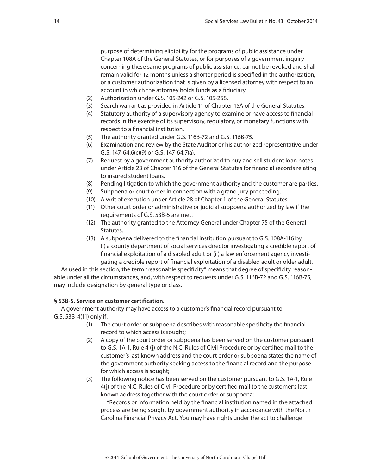purpose of determining eligibility for the programs of public assistance under Chapter 108A of the General Statutes, or for purposes of a government inquiry concerning these same programs of public assistance, cannot be revoked and shall remain valid for 12 months unless a shorter period is specified in the authorization, or a customer authorization that is given by a licensed attorney with respect to an account in which the attorney holds funds as a fiduciary.

- (2) Authorization under G.S. 105-242 or G.S. 105-258.
- (3) Search warrant as provided in Article 11 of Chapter 15A of the General Statutes.
- (4) Statutory authority of a supervisory agency to examine or have access to financial records in the exercise of its supervisory, regulatory, or monetary functions with respect to a financial institution.
- (5) The authority granted under G.S. 116B-72 and G.S. 116B-75.
- (6) Examination and review by the State Auditor or his authorized representative under G.S. 147-64.6(c)(9) or G.S. 147-64.7(a).
- (7) Request by a government authority authorized to buy and sell student loan notes under Article 23 of Chapter 116 of the General Statutes for financial records relating to insured student loans.
- (8) Pending litigation to which the government authority and the customer are parties.
- (9) Subpoena or court order in connection with a grand jury proceeding.
- (10) A writ of execution under Article 28 of Chapter 1 of the General Statutes.
- (11) Other court order or administrative or judicial subpoena authorized by law if the requirements of G.S. 53B-5 are met.
- (12) The authority granted to the Attorney General under Chapter 75 of the General Statutes.
- (13) A subpoena delivered to the financial institution pursuant to G.S. 108A-116 by (i) a county department of social services director investigating a credible report of financial exploitation of a disabled adult or (ii) a law enforcement agency investigating a credible report of financial exploitation of a disabled adult or older adult.

As used in this section, the term "reasonable specificity" means that degree of specificity reasonable under all the circumstances, and, with respect to requests under G.S. 116B-72 and G.S. 116B-75, may include designation by general type or class.

#### **§ 53B-5. Service on customer certification.**

A government authority may have access to a customer's financial record pursuant to G.S. 53B-4(11) only if:

- (1) The court order or subpoena describes with reasonable specificity the financial record to which access is sought;
- (2) A copy of the court order or subpoena has been served on the customer pursuant to G.S. 1A-1, Rule 4 (j) of the N.C. Rules of Civil Procedure or by certified mail to the customer's last known address and the court order or subpoena states the name of the government authority seeking access to the financial record and the purpose for which access is sought;
- (3) The following notice has been served on the customer pursuant to G.S. 1A-1, Rule 4(j) of the N.C. Rules of Civil Procedure or by certified mail to the customer's last known address together with the court order or subpoena:

 "Records or information held by the financial institution named in the attached process are being sought by government authority in accordance with the North Carolina Financial Privacy Act. You may have rights under the act to challenge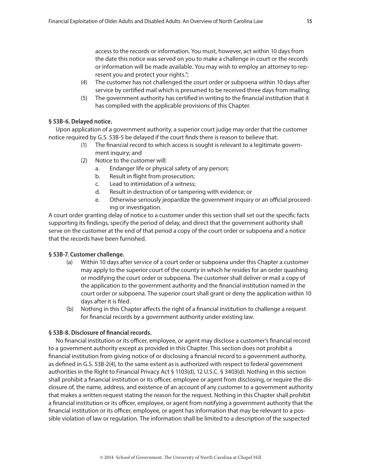access to the records or information. You must, however, act within 10 days from the date this notice was served on you to make a challenge in court or the records or information will be made available. You may wish to employ an attorney to represent you and protect your rights.";

- (4) The customer has not challenged the court order or subpoena within 10 days after service by certified mail which is presumed to be received three days from mailing;
- (5) The government authority has certified in writing to the financial institution that it has complied with the applicable provisions of this Chapter.

#### **§ 53B-6. Delayed notice.**

Upon application of a government authority, a superior court judge may order that the customer notice required by G.S. 53B-5 be delayed if the court finds there is reason to believe that:

- (1) The financial record to which access is sought is relevant to a legitimate government inquiry; and
- (2) Notice to the customer will:
	- a. Endanger life or physical safety of any person;
	- b. Result in flight from prosecution;
	- c. Lead to intimidation of a witness;
	- d. Result in destruction of or tampering with evidence; or
	- e. Otherwise seriously jeopardize the government inquiry or an official proceeding or investigation.

A court order granting delay of notice to a customer under this section shall set out the specific facts supporting its findings, specify the period of delay, and direct that the government authority shall serve on the customer at the end of that period a copy of the court order or subpoena and a notice that the records have been furnished.

#### **§ 53B-7. Customer challenge.**

- (a) Within 10 days after service of a court order or subpoena under this Chapter a customer may apply to the superior court of the county in which he resides for an order quashing or modifying the court order or subpoena. The customer shall deliver or mail a copy of the application to the government authority and the financial institution named in the court order or subpoena. The superior court shall grant or deny the application within 10 days after it is filed.
- (b) Nothing in this Chapter affects the right of a financial institution to challenge a request for financial records by a government authority under existing law.

## **§ 53B-8. Disclosure of financial records.**

No financial institution or its officer, employee, or agent may disclose a customer's financial record to a government authority except as provided in this Chapter. This section does not prohibit a financial institution from giving notice of or disclosing a financial record to a government authority, as defined in G.S. 53B-2(4), to the same extent as is authorized with respect to federal government authorities in the Right to Financial Privacy Act § 1103(d), 12 U.S.C. § 3403(d). Nothing in this section shall prohibit a financial institution or its officer, employee or agent from disclosing, or require the disclosure of, the name, address, and existence of an account of any customer to a government authority that makes a written request stating the reason for the request. Nothing in this Chapter shall prohibit a financial institution or its officer, employee, or agent from notifying a government authority that the financial institution or its officer, employee, or agent has information that may be relevant to a possible violation of law or regulation. The information shall be limited to a description of the suspected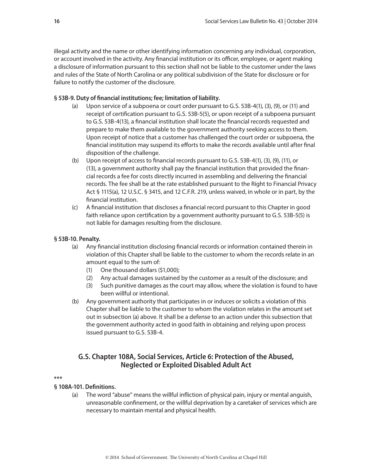illegal activity and the name or other identifying information concerning any individual, corporation, or account involved in the activity. Any financial institution or its officer, employee, or agent making a disclosure of information pursuant to this section shall not be liable to the customer under the laws and rules of the State of North Carolina or any political subdivision of the State for disclosure or for failure to notify the customer of the disclosure.

## **§ 53B-9. Duty of financial institutions; fee; limitation of liability.**

- (a) Upon service of a subpoena or court order pursuant to G.S. 53B-4(1), (3), (9), or (11) and receipt of certification pursuant to G.S. 53B-5(5), or upon receipt of a subpoena pursuant to G.S. 53B-4(13), a financial institution shall locate the financial records requested and prepare to make them available to the government authority seeking access to them. Upon receipt of notice that a customer has challenged the court order or subpoena, the financial institution may suspend its efforts to make the records available until after final disposition of the challenge.
- (b) Upon receipt of access to financial records pursuant to G.S. 53B-4(1), (3), (9), (11), or (13), a government authority shall pay the financial institution that provided the financial records a fee for costs directly incurred in assembling and delivering the financial records. The fee shall be at the rate established pursuant to the Right to Financial Privacy Act § 1115(a), 12 U.S.C. § 3415, and 12 C.F.R. 219, unless waived, in whole or in part, by the financial institution.
- (c) A financial institution that discloses a financial record pursuant to this Chapter in good faith reliance upon certification by a government authority pursuant to G.S. 53B-5(5) is not liable for damages resulting from the disclosure.

#### **§ 53B-10. Penalty.**

- (a) Any financial institution disclosing financial records or information contained therein in violation of this Chapter shall be liable to the customer to whom the records relate in an amount equal to the sum of:
	- (1) One thousand dollars (\$1,000);
	- (2) Any actual damages sustained by the customer as a result of the disclosure; and
	- (3) Such punitive damages as the court may allow, where the violation is found to have been willful or intentional.
- (b) Any government authority that participates in or induces or solicits a violation of this Chapter shall be liable to the customer to whom the violation relates in the amount set out in subsection (a) above. It shall be a defense to an action under this subsection that the government authority acted in good faith in obtaining and relying upon process issued pursuant to G.S. 53B-4.

## **G.S. Chapter 108A, Social Services, Article 6: Protection of the Abused, Neglected or Exploited Disabled Adult Act**

#### **\*\*\***

### **§ 108A-101. Definitions.**

(a) The word "abuse" means the willful infliction of physical pain, injury or mental anguish, unreasonable confinement, or the willful deprivation by a caretaker of services which are necessary to maintain mental and physical health.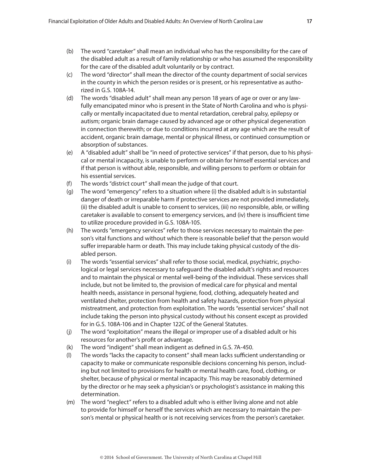- (b) The word "caretaker" shall mean an individual who has the responsibility for the care of the disabled adult as a result of family relationship or who has assumed the responsibility for the care of the disabled adult voluntarily or by contract.
- (c) The word "director" shall mean the director of the county department of social services in the county in which the person resides or is present, or his representative as authorized in G.S. 108A-14.
- (d) The words "disabled adult" shall mean any person 18 years of age or over or any lawfully emancipated minor who is present in the State of North Carolina and who is physically or mentally incapacitated due to mental retardation, cerebral palsy, epilepsy or autism; organic brain damage caused by advanced age or other physical degeneration in connection therewith; or due to conditions incurred at any age which are the result of accident, organic brain damage, mental or physical illness, or continued consumption or absorption of substances.
- (e) A "disabled adult" shall be "in need of protective services" if that person, due to his physical or mental incapacity, is unable to perform or obtain for himself essential services and if that person is without able, responsible, and willing persons to perform or obtain for his essential services.
- (f) The words "district court" shall mean the judge of that court.
- (g) The word "emergency" refers to a situation where (i) the disabled adult is in substantial danger of death or irreparable harm if protective services are not provided immediately, (ii) the disabled adult is unable to consent to services, (iii) no responsible, able, or willing caretaker is available to consent to emergency services, and (iv) there is insufficient time to utilize procedure provided in G.S. 108A-105.
- (h) The words "emergency services" refer to those services necessary to maintain the person's vital functions and without which there is reasonable belief that the person would suffer irreparable harm or death. This may include taking physical custody of the disabled person.
- (i) The words "essential services" shall refer to those social, medical, psychiatric, psychological or legal services necessary to safeguard the disabled adult's rights and resources and to maintain the physical or mental well-being of the individual. These services shall include, but not be limited to, the provision of medical care for physical and mental health needs, assistance in personal hygiene, food, clothing, adequately heated and ventilated shelter, protection from health and safety hazards, protection from physical mistreatment, and protection from exploitation. The words "essential services" shall not include taking the person into physical custody without his consent except as provided for in G.S. 108A-106 and in Chapter 122C of the General Statutes.
- (j) The word "exploitation" means the illegal or improper use of a disabled adult or his resources for another's profit or advantage.
- (k) The word "indigent" shall mean indigent as defined in G.S. 7A-450.
- (l) The words "lacks the capacity to consent" shall mean lacks sufficient understanding or capacity to make or communicate responsible decisions concerning his person, including but not limited to provisions for health or mental health care, food, clothing, or shelter, because of physical or mental incapacity. This may be reasonably determined by the director or he may seek a physician's or psychologist's assistance in making this determination.
- (m) The word "neglect" refers to a disabled adult who is either living alone and not able to provide for himself or herself the services which are necessary to maintain the person's mental or physical health or is not receiving services from the person's caretaker.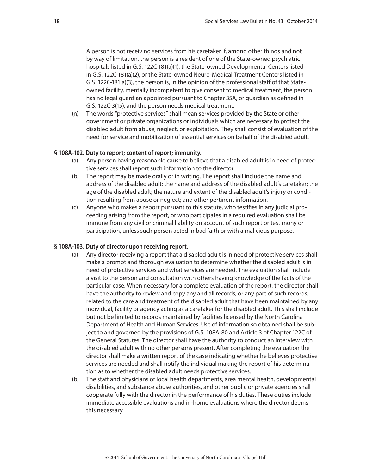A person is not receiving services from his caretaker if, among other things and not by way of limitation, the person is a resident of one of the State-owned psychiatric hospitals listed in G.S. 122C-181(a)(1), the State-owned Developmental Centers listed in G.S. 122C-181(a)(2), or the State-owned Neuro-Medical Treatment Centers listed in G.S. 122C-181(a)(3), the person is, in the opinion of the professional staff of that Stateowned facility, mentally incompetent to give consent to medical treatment, the person has no legal guardian appointed pursuant to Chapter 35A, or guardian as defined in G.S. 122C-3(15), and the person needs medical treatment.

(n) The words "protective services" shall mean services provided by the State or other government or private organizations or individuals which are necessary to protect the disabled adult from abuse, neglect, or exploitation. They shall consist of evaluation of the need for service and mobilization of essential services on behalf of the disabled adult.

#### **§ 108A-102. Duty to report; content of report; immunity.**

- (a) Any person having reasonable cause to believe that a disabled adult is in need of protective services shall report such information to the director.
- (b) The report may be made orally or in writing. The report shall include the name and address of the disabled adult; the name and address of the disabled adult's caretaker; the age of the disabled adult; the nature and extent of the disabled adult's injury or condition resulting from abuse or neglect; and other pertinent information.
- (c) Anyone who makes a report pursuant to this statute, who testifies in any judicial proceeding arising from the report, or who participates in a required evaluation shall be immune from any civil or criminal liability on account of such report or testimony or participation, unless such person acted in bad faith or with a malicious purpose.

#### **§ 108A-103. Duty of director upon receiving report.**

- (a) Any director receiving a report that a disabled adult is in need of protective services shall make a prompt and thorough evaluation to determine whether the disabled adult is in need of protective services and what services are needed. The evaluation shall include a visit to the person and consultation with others having knowledge of the facts of the particular case. When necessary for a complete evaluation of the report, the director shall have the authority to review and copy any and all records, or any part of such records, related to the care and treatment of the disabled adult that have been maintained by any individual, facility or agency acting as a caretaker for the disabled adult. This shall include but not be limited to records maintained by facilities licensed by the North Carolina Department of Health and Human Services. Use of information so obtained shall be subject to and governed by the provisions of G.S. 108A-80 and Article 3 of Chapter 122C of the General Statutes. The director shall have the authority to conduct an interview with the disabled adult with no other persons present. After completing the evaluation the director shall make a written report of the case indicating whether he believes protective services are needed and shall notify the individual making the report of his determination as to whether the disabled adult needs protective services.
- (b) The staff and physicians of local health departments, area mental health, developmental disabilities, and substance abuse authorities, and other public or private agencies shall cooperate fully with the director in the performance of his duties. These duties include immediate accessible evaluations and in-home evaluations where the director deems this necessary.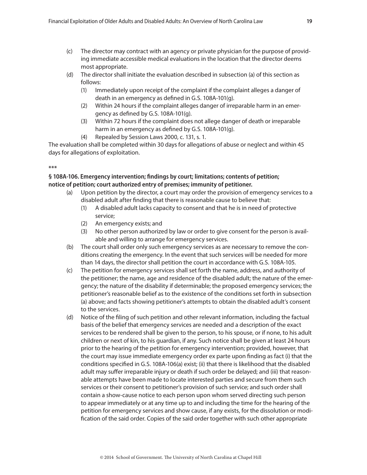- (c) The director may contract with an agency or private physician for the purpose of providing immediate accessible medical evaluations in the location that the director deems most appropriate.
- (d) The director shall initiate the evaluation described in subsection (a) of this section as follows:
	- (1) Immediately upon receipt of the complaint if the complaint alleges a danger of death in an emergency as defined in G.S. 108A-101(g).
	- (2) Within 24 hours if the complaint alleges danger of irreparable harm in an emergency as defined by G.S. 108A-101(g).
	- (3) Within 72 hours if the complaint does not allege danger of death or irreparable harm in an emergency as defined by G.S. 108A-101(g).
	- (4) Repealed by Session Laws 2000, c. 131, s. 1.

The evaluation shall be completed within 30 days for allegations of abuse or neglect and within 45 days for allegations of exploitation.

#### **\*\*\***

## **§ 108A-106. Emergency intervention; findings by court; limitations; contents of petition; notice of petition; court authorized entry of premises; immunity of petitioner.**

- (a) Upon petition by the director, a court may order the provision of emergency services to a disabled adult after finding that there is reasonable cause to believe that:
	- (1) A disabled adult lacks capacity to consent and that he is in need of protective service;
	- (2) An emergency exists; and
	- (3) No other person authorized by law or order to give consent for the person is available and willing to arrange for emergency services.
- (b) The court shall order only such emergency services as are necessary to remove the conditions creating the emergency. In the event that such services will be needed for more than 14 days, the director shall petition the court in accordance with G.S. 108A-105.
- (c) The petition for emergency services shall set forth the name, address, and authority of the petitioner; the name, age and residence of the disabled adult; the nature of the emergency; the nature of the disability if determinable; the proposed emergency services; the petitioner's reasonable belief as to the existence of the conditions set forth in subsection (a) above; and facts showing petitioner's attempts to obtain the disabled adult's consent to the services.
- (d) Notice of the filing of such petition and other relevant information, including the factual basis of the belief that emergency services are needed and a description of the exact services to be rendered shall be given to the person, to his spouse, or if none, to his adult children or next of kin, to his guardian, if any. Such notice shall be given at least 24 hours prior to the hearing of the petition for emergency intervention; provided, however, that the court may issue immediate emergency order ex parte upon finding as fact (i) that the conditions specified in G.S. 108A-106(a) exist; (ii) that there is likelihood that the disabled adult may suffer irreparable injury or death if such order be delayed; and (iii) that reasonable attempts have been made to locate interested parties and secure from them such services or their consent to petitioner's provision of such service; and such order shall contain a show-cause notice to each person upon whom served directing such person to appear immediately or at any time up to and including the time for the hearing of the petition for emergency services and show cause, if any exists, for the dissolution or modification of the said order. Copies of the said order together with such other appropriate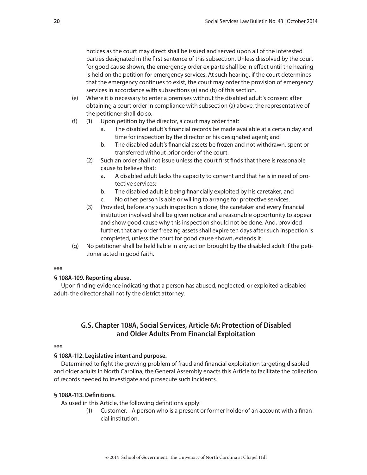notices as the court may direct shall be issued and served upon all of the interested parties designated in the first sentence of this subsection. Unless dissolved by the court for good cause shown, the emergency order ex parte shall be in effect until the hearing is held on the petition for emergency services. At such hearing, if the court determines that the emergency continues to exist, the court may order the provision of emergency services in accordance with subsections (a) and (b) of this section.

- (e) Where it is necessary to enter a premises without the disabled adult's consent after obtaining a court order in compliance with subsection (a) above, the representative of the petitioner shall do so.
- $(f)$  (1) Upon petition by the director, a court may order that:
	- a. The disabled adult's financial records be made available at a certain day and time for inspection by the director or his designated agent; and
	- b. The disabled adult's financial assets be frozen and not withdrawn, spent or transferred without prior order of the court.
	- (2) Such an order shall not issue unless the court first finds that there is reasonable cause to believe that:
		- a. A disabled adult lacks the capacity to consent and that he is in need of protective services;
		- b. The disabled adult is being financially exploited by his caretaker; and
		- c. No other person is able or willing to arrange for protective services.
	- (3) Provided, before any such inspection is done, the caretaker and every financial institution involved shall be given notice and a reasonable opportunity to appear and show good cause why this inspection should not be done. And, provided further, that any order freezing assets shall expire ten days after such inspection is completed, unless the court for good cause shown, extends it.
- (g) No petitioner shall be held liable in any action brought by the disabled adult if the petitioner acted in good faith.

#### **\*\*\***

#### **§ 108A-109. Reporting abuse.**

Upon finding evidence indicating that a person has abused, neglected, or exploited a disabled adult, the director shall notify the district attorney.

## **G.S. Chapter 108A, Social Services, Article 6A: Protection of Disabled and Older Adults From Financial Exploitation**

#### **\*\*\***

#### **§ 108A-112. Legislative intent and purpose.**

Determined to fight the growing problem of fraud and financial exploitation targeting disabled and older adults in North Carolina, the General Assembly enacts this Article to facilitate the collection of records needed to investigate and prosecute such incidents.

#### **§ 108A-113. Definitions.**

As used in this Article, the following definitions apply:

(1) Customer. - A person who is a present or former holder of an account with a financial institution.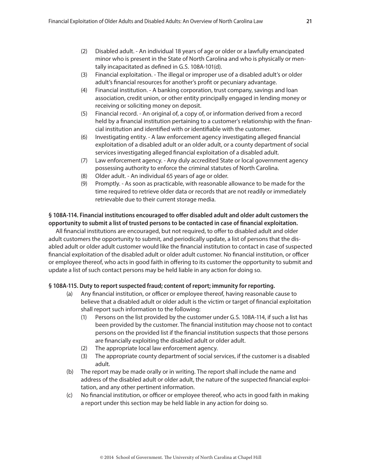- (2) Disabled adult. An individual 18 years of age or older or a lawfully emancipated minor who is present in the State of North Carolina and who is physically or mentally incapacitated as defined in G.S. 108A-101(d).
- (3) Financial exploitation. The illegal or improper use of a disabled adult's or older adult's financial resources for another's profit or pecuniary advantage.
- (4) Financial institution. A banking corporation, trust company, savings and loan association, credit union, or other entity principally engaged in lending money or receiving or soliciting money on deposit.
- (5) Financial record. An original of, a copy of, or information derived from a record held by a financial institution pertaining to a customer's relationship with the financial institution and identified with or identifiable with the customer.
- (6) Investigating entity. A law enforcement agency investigating alleged financial exploitation of a disabled adult or an older adult, or a county department of social services investigating alleged financial exploitation of a disabled adult.
- (7) Law enforcement agency. Any duly accredited State or local government agency possessing authority to enforce the criminal statutes of North Carolina.
- (8) Older adult. An individual 65 years of age or older.
- (9) Promptly. As soon as practicable, with reasonable allowance to be made for the time required to retrieve older data or records that are not readily or immediately retrievable due to their current storage media.

## **§ 108A-114. Financial institutions encouraged to offer disabled adult and older adult customers the opportunity to submit a list of trusted persons to be contacted in case of financial exploitation.**

All financial institutions are encouraged, but not required, to offer to disabled adult and older adult customers the opportunity to submit, and periodically update, a list of persons that the disabled adult or older adult customer would like the financial institution to contact in case of suspected financial exploitation of the disabled adult or older adult customer. No financial institution, or officer or employee thereof, who acts in good faith in offering to its customer the opportunity to submit and update a list of such contact persons may be held liable in any action for doing so.

## **§ 108A-115. Duty to report suspected fraud; content of report; immunity for reporting.**

- (a) Any financial institution, or officer or employee thereof, having reasonable cause to believe that a disabled adult or older adult is the victim or target of financial exploitation shall report such information to the following:
	- (1) Persons on the list provided by the customer under G.S. 108A-114, if such a list has been provided by the customer. The financial institution may choose not to contact persons on the provided list if the financial institution suspects that those persons are financially exploiting the disabled adult or older adult.
	- (2) The appropriate local law enforcement agency.
	- (3) The appropriate county department of social services, if the customer is a disabled adult.
- (b) The report may be made orally or in writing. The report shall include the name and address of the disabled adult or older adult, the nature of the suspected financial exploitation, and any other pertinent information.
- (c) No financial institution, or officer or employee thereof, who acts in good faith in making a report under this section may be held liable in any action for doing so.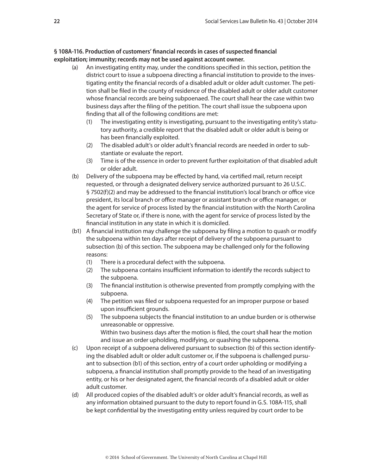## **§ 108A-116. Production of customers' financial records in cases of suspected financial exploitation; immunity; records may not be used against account owner.**

- (a) An investigating entity may, under the conditions specified in this section, petition the district court to issue a subpoena directing a financial institution to provide to the investigating entity the financial records of a disabled adult or older adult customer. The petition shall be filed in the county of residence of the disabled adult or older adult customer whose financial records are being subpoenaed. The court shall hear the case within two business days after the filing of the petition. The court shall issue the subpoena upon finding that all of the following conditions are met:
	- (1) The investigating entity is investigating, pursuant to the investigating entity's statutory authority, a credible report that the disabled adult or older adult is being or has been financially exploited.
	- (2) The disabled adult's or older adult's financial records are needed in order to substantiate or evaluate the report.
	- (3) Time is of the essence in order to prevent further exploitation of that disabled adult or older adult.
- (b) Delivery of the subpoena may be effected by hand, via certified mail, return receipt requested, or through a designated delivery service authorized pursuant to 26 U.S.C. § 7502(f)(2) and may be addressed to the financial institution's local branch or office vice president, its local branch or office manager or assistant branch or office manager, or the agent for service of process listed by the financial institution with the North Carolina Secretary of State or, if there is none, with the agent for service of process listed by the financial institution in any state in which it is domiciled.
- (b1) A financial institution may challenge the subpoena by filing a motion to quash or modify the subpoena within ten days after receipt of delivery of the subpoena pursuant to subsection (b) of this section. The subpoena may be challenged only for the following reasons:
	- (1) There is a procedural defect with the subpoena.
	- (2) The subpoena contains insufficient information to identify the records subject to the subpoena.
	- (3) The financial institution is otherwise prevented from promptly complying with the subpoena.
	- (4) The petition was filed or subpoena requested for an improper purpose or based upon insufficient grounds.
	- (5) The subpoena subjects the financial institution to an undue burden or is otherwise unreasonable or oppressive. Within two business days after the motion is filed, the court shall hear the motion and issue an order upholding, modifying, or quashing the subpoena.
- (c) Upon receipt of a subpoena delivered pursuant to subsection (b) of this section identifying the disabled adult or older adult customer or, if the subpoena is challenged pursuant to subsection (b1) of this section, entry of a court order upholding or modifying a subpoena, a financial institution shall promptly provide to the head of an investigating entity, or his or her designated agent, the financial records of a disabled adult or older adult customer.
- (d) All produced copies of the disabled adult's or older adult's financial records, as well as any information obtained pursuant to the duty to report found in G.S. 108A-115, shall be kept confidential by the investigating entity unless required by court order to be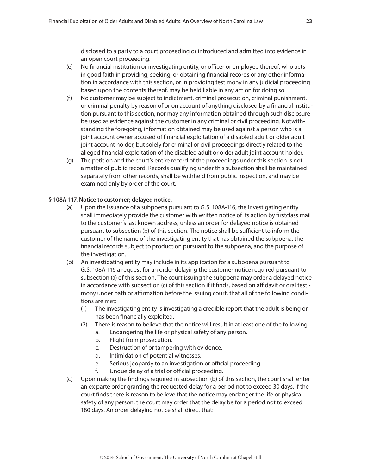disclosed to a party to a court proceeding or introduced and admitted into evidence in an open court proceeding.

- (e) No financial institution or investigating entity, or officer or employee thereof, who acts in good faith in providing, seeking, or obtaining financial records or any other information in accordance with this section, or in providing testimony in any judicial proceeding based upon the contents thereof, may be held liable in any action for doing so.
- (f) No customer may be subject to indictment, criminal prosecution, criminal punishment, or criminal penalty by reason of or on account of anything disclosed by a financial institution pursuant to this section, nor may any information obtained through such disclosure be used as evidence against the customer in any criminal or civil proceeding. Notwithstanding the foregoing, information obtained may be used against a person who is a joint account owner accused of financial exploitation of a disabled adult or older adult joint account holder, but solely for criminal or civil proceedings directly related to the alleged financial exploitation of the disabled adult or older adult joint account holder.
- (g) The petition and the court's entire record of the proceedings under this section is not a matter of public record. Records qualifying under this subsection shall be maintained separately from other records, shall be withheld from public inspection, and may be examined only by order of the court.

### **§ 108A-117. Notice to customer; delayed notice.**

- (a) Upon the issuance of a subpoena pursuant to G.S. 108A-116, the investigating entity shall immediately provide the customer with written notice of its action by firstclass mail to the customer's last known address, unless an order for delayed notice is obtained pursuant to subsection (b) of this section. The notice shall be sufficient to inform the customer of the name of the investigating entity that has obtained the subpoena, the financial records subject to production pursuant to the subpoena, and the purpose of the investigation.
- (b) An investigating entity may include in its application for a subpoena pursuant to G.S. 108A-116 a request for an order delaying the customer notice required pursuant to subsection (a) of this section. The court issuing the subpoena may order a delayed notice in accordance with subsection (c) of this section if it finds, based on affidavit or oral testimony under oath or affirmation before the issuing court, that all of the following conditions are met:
	- (1) The investigating entity is investigating a credible report that the adult is being or has been financially exploited.
	- (2) There is reason to believe that the notice will result in at least one of the following:
		- a. Endangering the life or physical safety of any person.
		- b. Flight from prosecution.
		- c. Destruction of or tampering with evidence.
		- d. Intimidation of potential witnesses.
		- e. Serious jeopardy to an investigation or official proceeding.
		- f. Undue delay of a trial or official proceeding.
- (c) Upon making the findings required in subsection (b) of this section, the court shall enter an ex parte order granting the requested delay for a period not to exceed 30 days. If the court finds there is reason to believe that the notice may endanger the life or physical safety of any person, the court may order that the delay be for a period not to exceed 180 days. An order delaying notice shall direct that: